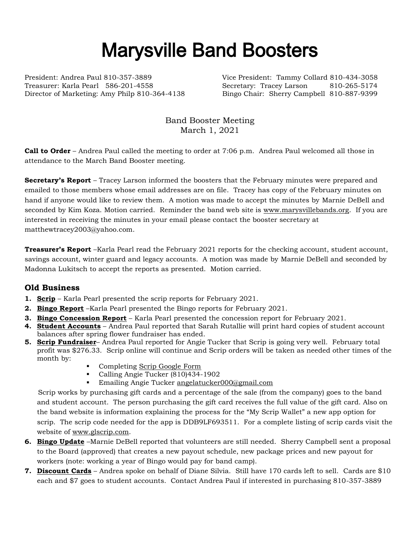## Marysville Band Boosters

President: Andrea Paul 810-357-3889 Vice President: Tammy Collard 810-434-3058 Treasurer: Karla Pearl 586-201-4558 Secretary: Tracey Larson 810-265-5174 Director of Marketing: Amy Philp 810-364-4138 Bingo Chair: Sherry Campbell 810-887-9399

Band Booster Meeting March 1, 2021

**Call to Order** – Andrea Paul called the meeting to order at 7:06 p.m. Andrea Paul welcomed all those in attendance to the March Band Booster meeting.

**Secretary's Report** – Tracey Larson informed the boosters that the February minutes were prepared and emailed to those members whose email addresses are on file. Tracey has copy of the February minutes on hand if anyone would like to review them. A motion was made to accept the minutes by Marnie DeBell and seconded by Kim Koza. Motion carried. Reminder the band web site is [www.marysvillebands.org.](http://www.marysvillebands.org/) If you are interested in receiving the minutes in your email please contact the booster secretary at matthewtracey2003@yahoo.com.

**Treasurer's Report** –Karla Pearl read the February 2021 reports for the checking account, student account, savings account, winter guard and legacy accounts. A motion was made by Marnie DeBell and seconded by Madonna Lukitsch to accept the reports as presented. Motion carried.

## **Old Business**

- **1. Scrip** Karla Pearl presented the scrip reports for February 2021.
- **2. Bingo Report** –Karla Pearl presented the Bingo reports for February 2021.
- **3. Bingo Concession Report** Karla Pearl presented the concession report for February 2021.
- **4. Student Accounts** Andrea Paul reported that Sarah Rutallie will print hard copies of student account balances after spring flower fundraiser has ended.
- **5. Scrip Fundraiser** Andrea Paul reported for Angie Tucker that Scrip is going very well. February total profit was \$276.33. Scrip online will continue and Scrip orders will be taken as needed other times of the month by:
	- Completing [Scrip Google Form](https://forms.gle/Ryvw2wHxTdg1j3Yj6)
	- Calling Angie Tucker (810)434-1902
	- Emailing Angie Tucker [angelatucker000@gmail.com](mailto:angelatucker000@gmail.com)

Scrip works by purchasing gift cards and a percentage of the sale (from the company) goes to the band and student account. The person purchasing the gift card receives the full value of the gift card. Also on the band website is information explaining the process for the "My Scrip Wallet" a new app option for scrip. The scrip code needed for the app is DDB9LF693511. For a complete listing of scrip cards visit the website of [www.glscrip.com.](http://www.glscrip.com/)

- **6. Bingo Update** –Marnie DeBell reported that volunteers are still needed. Sherry Campbell sent a proposal to the Board (approved) that creates a new payout schedule, new package prices and new payout for workers (note: working a year of Bingo would pay for band camp).
- **7. Discount Cards** Andrea spoke on behalf of Diane Silvia. Still have 170 cards left to sell. Cards are \$10 each and \$7 goes to student accounts. Contact Andrea Paul if interested in purchasing 810-357-3889